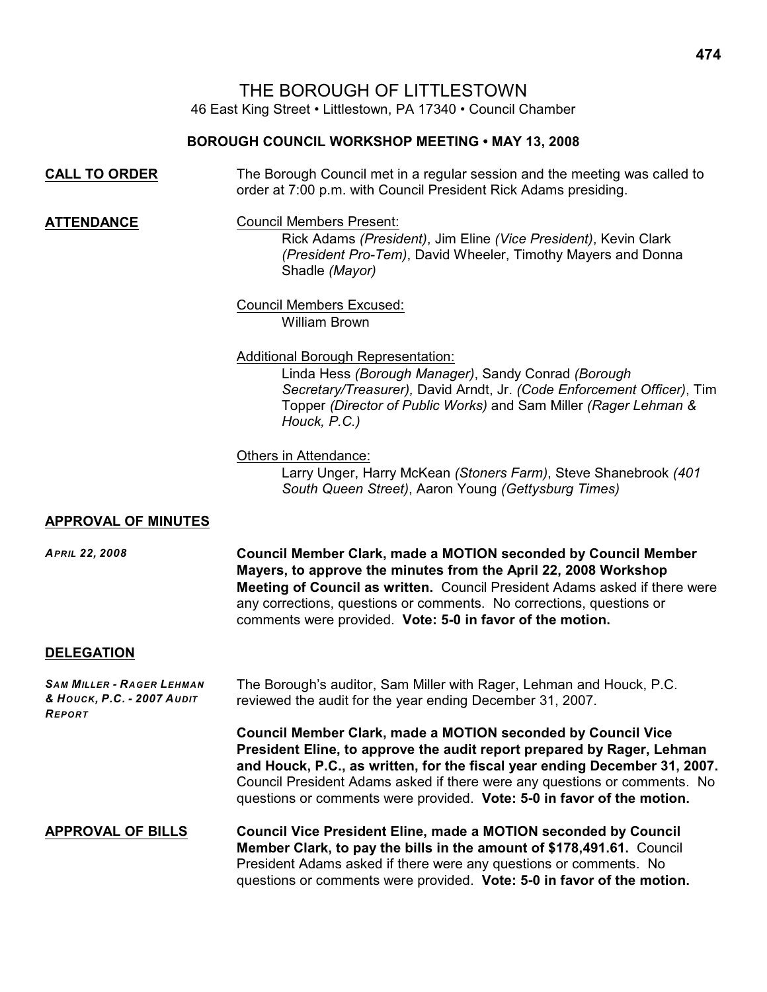THE BOROUGH OF LITTLESTOWN

46 East King Street • Littlestown, PA 17340 • Council Chamber

# **BOROUGH COUNCIL WORKSHOP MEETING • MAY 13, 2008**

| <b>CALL TO ORDER</b> | The Borough Council met in a regular session and the meeting was called to |
|----------------------|----------------------------------------------------------------------------|
|                      | order at 7:00 p.m. with Council President Rick Adams presiding.            |

**ATTENDANCE** Council Members Present:

Rick Adams *(President)*, Jim Eline *(Vice President)*, Kevin Clark *(President Pro-Tem)*, David Wheeler, Timothy Mayers and Donna Shadle *(Mayor)*

#### Council Members Excused: William Brown

## Additional Borough Representation:

Linda Hess *(Borough Manager)*, Sandy Conrad *(Borough Secretary/Treasurer),* David Arndt, Jr. *(Code Enforcement Officer)*, Tim Topper *(Director of Public Works)* and Sam Miller *(Rager Lehman & Houck, P.C.)*

#### Others in Attendance:

Larry Unger, Harry McKean *(Stoners Farm)*, Steve Shanebrook *(401 South Queen Street)*, Aaron Young *(Gettysburg Times)*

## **APPROVAL OF MINUTES**

*APRIL 22, 2008* **Council Member Clark, made a MOTION seconded by Council Member Mayers, to approve the minutes from the April 22, 2008 Workshop Meeting of Council as written.** Council President Adams asked if there were any corrections, questions or comments. No corrections, questions or comments were provided. **Vote: 5-0 in favor of the motion.**

## **DELEGATION**

| <b>SAM MILLER - RAGER LEHMAN</b><br>& HOUCK, P.C. - 2007 AUDIT<br><b>REPORT</b> | The Borough's auditor, Sam Miller with Rager, Lehman and Houck, P.C.<br>reviewed the audit for the year ending December 31, 2007.                                                                                                                                                                                                                                                  |
|---------------------------------------------------------------------------------|------------------------------------------------------------------------------------------------------------------------------------------------------------------------------------------------------------------------------------------------------------------------------------------------------------------------------------------------------------------------------------|
|                                                                                 | <b>Council Member Clark, made a MOTION seconded by Council Vice</b><br>President Eline, to approve the audit report prepared by Rager, Lehman<br>and Houck, P.C., as written, for the fiscal year ending December 31, 2007.<br>Council President Adams asked if there were any questions or comments. No<br>questions or comments were provided. Vote: 5-0 in favor of the motion. |
| <b>APPROVAL OF BILLS</b>                                                        | <b>Council Vice President Eline, made a MOTION seconded by Council</b><br>Member Clark, to pay the bills in the amount of \$178,491.61. Council<br>President Adams asked if there were any questions or comments. No<br>questions or comments were provided. Vote: 5-0 in favor of the motion.                                                                                     |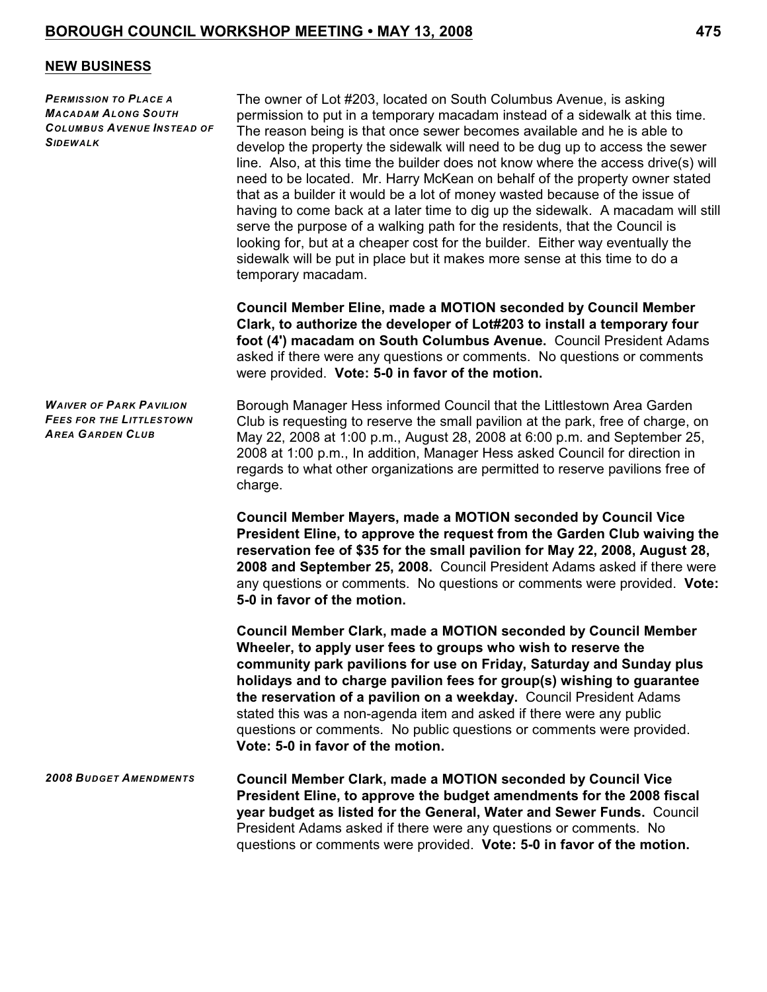#### **NEW BUSINESS**

*PERMISSION TO PLACE A MACADAM ALONG SOUTH COLUMBUS AVENUE INSTEAD OF SIDEWALK*

The owner of Lot #203, located on South Columbus Avenue, is asking permission to put in a temporary macadam instead of a sidewalk at this time. The reason being is that once sewer becomes available and he is able to develop the property the sidewalk will need to be dug up to access the sewer line. Also, at this time the builder does not know where the access drive(s) will need to be located. Mr. Harry McKean on behalf of the property owner stated that as a builder it would be a lot of money wasted because of the issue of having to come back at a later time to dig up the sidewalk. A macadam will still serve the purpose of a walking path for the residents, that the Council is looking for, but at a cheaper cost for the builder. Either way eventually the sidewalk will be put in place but it makes more sense at this time to do a temporary macadam.

**Council Member Eline, made a MOTION seconded by Council Member Clark, to authorize the developer of Lot#203 to install a temporary four foot (4') macadam on South Columbus Avenue.** Council President Adams asked if there were any questions or comments. No questions or comments were provided. **Vote: 5-0 in favor of the motion.**

*WAIVER OF PARK PAVILION FEES FOR THE LITTLESTOWN AREA GARDEN CLUB*

Borough Manager Hess informed Council that the Littlestown Area Garden Club is requesting to reserve the small pavilion at the park, free of charge, on May 22, 2008 at 1:00 p.m., August 28, 2008 at 6:00 p.m. and September 25, 2008 at 1:00 p.m., In addition, Manager Hess asked Council for direction in regards to what other organizations are permitted to reserve pavilions free of charge.

**Council Member Mayers, made a MOTION seconded by Council Vice President Eline, to approve the request from the Garden Club waiving the reservation fee of \$35 for the small pavilion for May 22, 2008, August 28, 2008 and September 25, 2008.** Council President Adams asked if there were any questions or comments. No questions or comments were provided. **Vote: 5-0 in favor of the motion.**

**Council Member Clark, made a MOTION seconded by Council Member Wheeler, to apply user fees to groups who wish to reserve the community park pavilions for use on Friday, Saturday and Sunday plus holidays and to charge pavilion fees for group(s) wishing to guarantee the reservation of a pavilion on a weekday.** Council President Adams stated this was a non-agenda item and asked if there were any public questions or comments. No public questions or comments were provided. **Vote: 5-0 in favor of the motion.**

*2008 BUDGET AMENDMENTS* **Council Member Clark, made a MOTION seconded by Council Vice President Eline, to approve the budget amendments for the 2008 fiscal year budget as listed for the General, Water and Sewer Funds.** Council President Adams asked if there were any questions or comments. No questions or comments were provided. **Vote: 5-0 in favor of the motion.**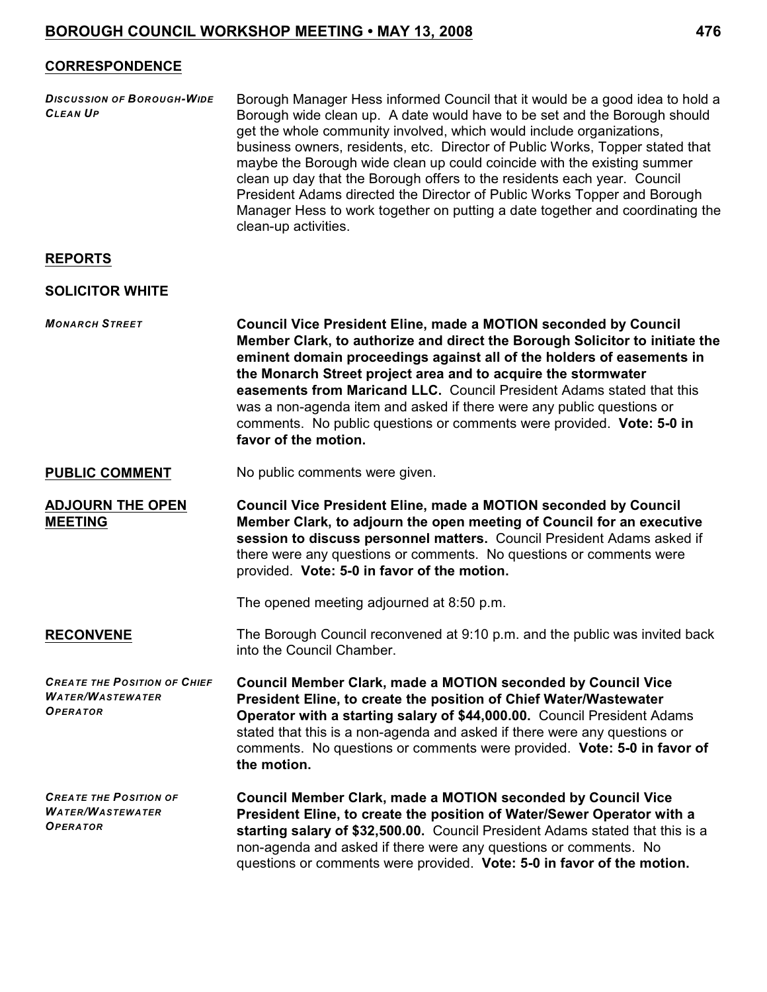## **CORRESPONDENCE**

| <b>DISCUSSION OF BOROUGH-WIDE</b> | Borough Manager Hess informed Council that it would be a good idea to hold a  |
|-----------------------------------|-------------------------------------------------------------------------------|
| <b>CLEAN UP</b>                   | Borough wide clean up. A date would have to be set and the Borough should     |
|                                   | get the whole community involved, which would include organizations,          |
|                                   | business owners, residents, etc. Director of Public Works, Topper stated that |
|                                   | maybe the Borough wide clean up could coincide with the existing summer       |
|                                   | clean up day that the Borough offers to the residents each year. Council      |
|                                   | President Adams directed the Director of Public Works Topper and Borough      |
|                                   | Manager Hess to work together on putting a date together and coordinating the |
|                                   | clean-up activities.                                                          |

#### **REPORTS**

#### **SOLICITOR WHITE**

*MONARCH STREET* **Council Vice President Eline, made a MOTION seconded by Council Member Clark, to authorize and direct the Borough Solicitor to initiate the**

**eminent domain proceedings against all of the holders of easements in the Monarch Street project area and to acquire the stormwater easements from Maricand LLC.** Council President Adams stated that this was a non-agenda item and asked if there were any public questions or comments. No public questions or comments were provided. **Vote: 5-0 in favor of the motion.**

**PUBLIC COMMENT** No public comments were given.

**ADJOURN THE OPEN MEETING Council Vice President Eline, made a MOTION seconded by Council Member Clark, to adjourn the open meeting of Council for an executive session to discuss personnel matters.** Council President Adams asked if there were any questions or comments. No questions or comments were provided. **Vote: 5-0 in favor of the motion.**

The opened meeting adjourned at 8:50 p.m.

**RECONVENE** The Borough Council reconvened at 9:10 p.m. and the public was invited back into the Council Chamber.

*CREATE THE POSITION OF CHIEF WATER/WASTEWATER OPERATOR* **Council Member Clark, made a MOTION seconded by Council Vice President Eline, to create the position of Chief Water/Wastewater Operator with a starting salary of \$44,000.00.** Council President Adams stated that this is a non-agenda and asked if there were any questions or comments. No questions or comments were provided. **Vote: 5-0 in favor of the motion.** 

*CREATE THE POSITION OF WATER/WASTEWATER OPERATOR* **Council Member Clark, made a MOTION seconded by Council Vice President Eline, to create the position of Water/Sewer Operator with a starting salary of \$32,500.00.** Council President Adams stated that this is a non-agenda and asked if there were any questions or comments. No questions or comments were provided. **Vote: 5-0 in favor of the motion.**